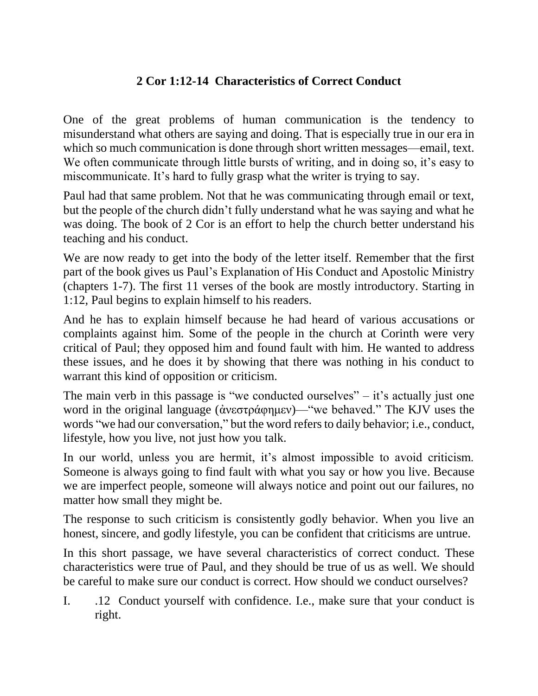## **2 Cor 1:12-14 Characteristics of Correct Conduct**

One of the great problems of human communication is the tendency to misunderstand what others are saying and doing. That is especially true in our era in which so much communication is done through short written messages—email, text. We often communicate through little bursts of writing, and in doing so, it's easy to miscommunicate. It's hard to fully grasp what the writer is trying to say.

Paul had that same problem. Not that he was communicating through email or text, but the people of the church didn't fully understand what he was saying and what he was doing. The book of 2 Cor is an effort to help the church better understand his teaching and his conduct.

We are now ready to get into the body of the letter itself. Remember that the first part of the book gives us Paul's Explanation of His Conduct and Apostolic Ministry (chapters 1-7). The first 11 verses of the book are mostly introductory. Starting in 1:12, Paul begins to explain himself to his readers.

And he has to explain himself because he had heard of various accusations or complaints against him. Some of the people in the church at Corinth were very critical of Paul; they opposed him and found fault with him. He wanted to address these issues, and he does it by showing that there was nothing in his conduct to warrant this kind of opposition or criticism.

The main verb in this passage is "we conducted ourselves"  $-$  it's actually just one word in the original language (ἀνεστράφημεν)—"we behaved." The KJV uses the words "we had our conversation," but the word refers to daily behavior; i.e., conduct, lifestyle, how you live, not just how you talk.

In our world, unless you are hermit, it's almost impossible to avoid criticism. Someone is always going to find fault with what you say or how you live. Because we are imperfect people, someone will always notice and point out our failures, no matter how small they might be.

The response to such criticism is consistently godly behavior. When you live an honest, sincere, and godly lifestyle, you can be confident that criticisms are untrue.

In this short passage, we have several characteristics of correct conduct. These characteristics were true of Paul, and they should be true of us as well. We should be careful to make sure our conduct is correct. How should we conduct ourselves?

I. .12 Conduct yourself with confidence. I.e., make sure that your conduct is right.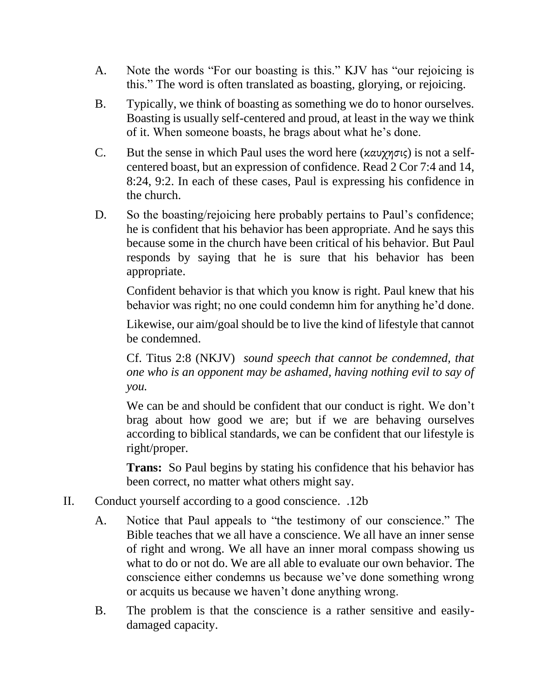- A. Note the words "For our boasting is this." KJV has "our rejoicing is this." The word is often translated as boasting, glorying, or rejoicing.
- B. Typically, we think of boasting as something we do to honor ourselves. Boasting is usually self-centered and proud, at least in the way we think of it. When someone boasts, he brags about what he's done.
- C. But the sense in which Paul uses the word here (καυχησις) is not a selfcentered boast, but an expression of confidence. Read 2 Cor 7:4 and 14, 8:24, 9:2. In each of these cases, Paul is expressing his confidence in the church.
- D. So the boasting/rejoicing here probably pertains to Paul's confidence; he is confident that his behavior has been appropriate. And he says this because some in the church have been critical of his behavior. But Paul responds by saying that he is sure that his behavior has been appropriate.

Confident behavior is that which you know is right. Paul knew that his behavior was right; no one could condemn him for anything he'd done.

Likewise, our aim/goal should be to live the kind of lifestyle that cannot be condemned.

Cf. Titus 2:8 (NKJV) *sound speech that cannot be condemned, that one who is an opponent may be ashamed, having nothing evil to say of you.*

We can be and should be confident that our conduct is right. We don't brag about how good we are; but if we are behaving ourselves according to biblical standards, we can be confident that our lifestyle is right/proper.

**Trans:** So Paul begins by stating his confidence that his behavior has been correct, no matter what others might say.

- II. Conduct yourself according to a good conscience. .12b
	- A. Notice that Paul appeals to "the testimony of our conscience." The Bible teaches that we all have a conscience. We all have an inner sense of right and wrong. We all have an inner moral compass showing us what to do or not do. We are all able to evaluate our own behavior. The conscience either condemns us because we've done something wrong or acquits us because we haven't done anything wrong.
	- B. The problem is that the conscience is a rather sensitive and easilydamaged capacity.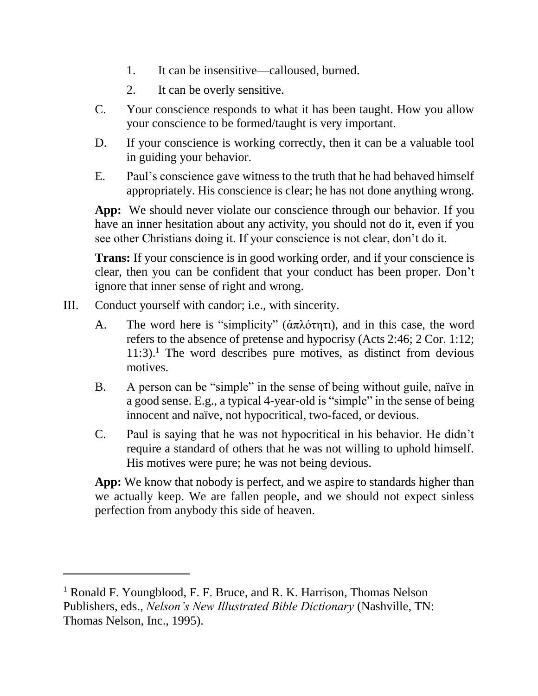- 1. It can be insensitive—calloused, burned.
- 2. It can be overly sensitive.
- C. Your conscience responds to what it has been taught. How you allow your conscience to be formed/taught is very important.
- D. If your conscience is working correctly, then it can be a valuable tool in guiding your behavior.
- E. Paul's conscience gave witness to the truth that he had behaved himself appropriately. His conscience is clear; he has not done anything wrong.

**App:** We should never violate our conscience through our behavior. If you have an inner hesitation about any activity, you should not do it, even if you see other Christians doing it. If your conscience is not clear, don't do it.

**Trans:** If your conscience is in good working order, and if your conscience is clear, then you can be confident that your conduct has been proper. Don't ignore that inner sense of right and wrong.

III. Conduct yourself with candor; i.e., with sincerity.

 $\overline{a}$ 

- A. The word here is "simplicity" (ἁπλότητι), and in this case, the word refers to the absence of pretense and hypocrisy (Acts 2:46; 2 Cor. 1:12;  $11:3$ .<sup>1</sup> The word describes pure motives, as distinct from devious motives.
- B. A person can be "simple" in the sense of being without guile, naïve in a good sense. E.g., a typical 4-year-old is "simple" in the sense of being innocent and naïve, not hypocritical, two-faced, or devious.
- C. Paul is saying that he was not hypocritical in his behavior. He didn't require a standard of others that he was not willing to uphold himself. His motives were pure; he was not being devious.

**App:** We know that nobody is perfect, and we aspire to standards higher than we actually keep. We are fallen people, and we should not expect sinless perfection from anybody this side of heaven.

<sup>1</sup> Ronald F. Youngblood, F. F. Bruce, and R. K. Harrison, Thomas Nelson Publishers, eds., *Nelson's New Illustrated Bible Dictionary* (Nashville, TN: Thomas Nelson, Inc., 1995).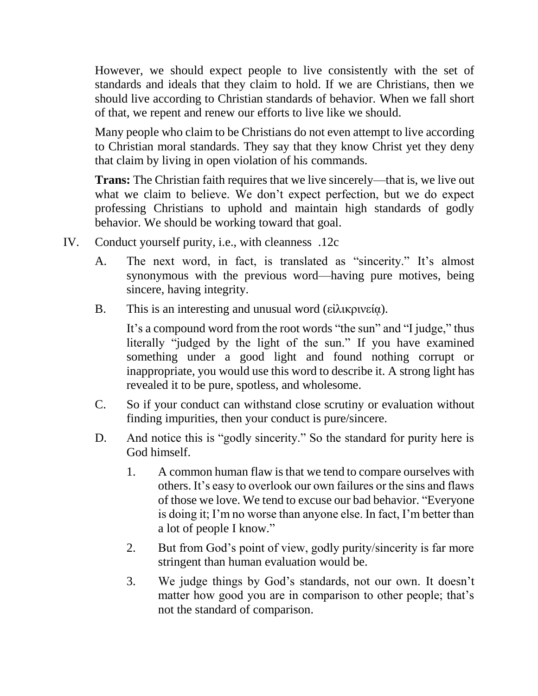However, we should expect people to live consistently with the set of standards and ideals that they claim to hold. If we are Christians, then we should live according to Christian standards of behavior. When we fall short of that, we repent and renew our efforts to live like we should.

Many people who claim to be Christians do not even attempt to live according to Christian moral standards. They say that they know Christ yet they deny that claim by living in open violation of his commands.

**Trans:** The Christian faith requires that we live sincerely—that is, we live out what we claim to believe. We don't expect perfection, but we do expect professing Christians to uphold and maintain high standards of godly behavior. We should be working toward that goal.

- IV. Conduct yourself purity, i.e., with cleanness .12c
	- A. The next word, in fact, is translated as "sincerity." It's almost synonymous with the previous word—having pure motives, being sincere, having integrity.
	- B. This is an interesting and unusual word (είλικρινεία).

It's a compound word from the root words "the sun" and "I judge," thus literally "judged by the light of the sun." If you have examined something under a good light and found nothing corrupt or inappropriate, you would use this word to describe it. A strong light has revealed it to be pure, spotless, and wholesome.

- C. So if your conduct can withstand close scrutiny or evaluation without finding impurities, then your conduct is pure/sincere.
- D. And notice this is "godly sincerity." So the standard for purity here is God himself.
	- 1. A common human flaw is that we tend to compare ourselves with others. It's easy to overlook our own failures or the sins and flaws of those we love. We tend to excuse our bad behavior. "Everyone is doing it; I'm no worse than anyone else. In fact, I'm better than a lot of people I know."
	- 2. But from God's point of view, godly purity/sincerity is far more stringent than human evaluation would be.
	- 3. We judge things by God's standards, not our own. It doesn't matter how good you are in comparison to other people; that's not the standard of comparison.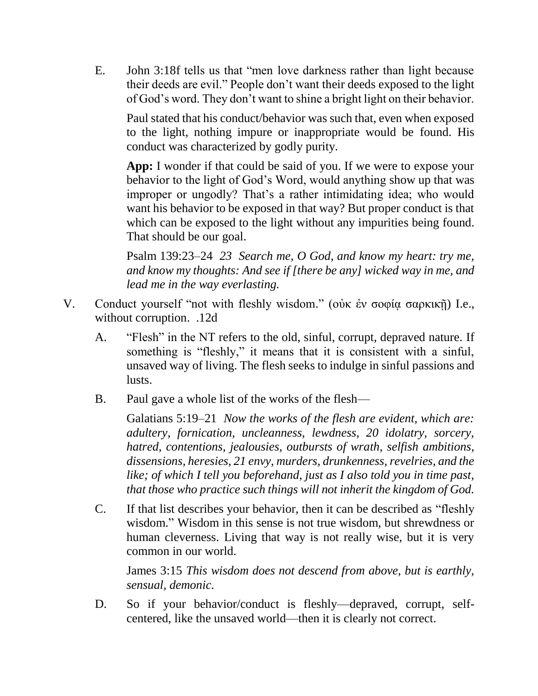E. John 3:18f tells us that "men love darkness rather than light because their deeds are evil." People don't want their deeds exposed to the light of God's word. They don't want to shine a bright light on their behavior.

Paul stated that his conduct/behavior was such that, even when exposed to the light, nothing impure or inappropriate would be found. His conduct was characterized by godly purity.

**App:** I wonder if that could be said of you. If we were to expose your behavior to the light of God's Word, would anything show up that was improper or ungodly? That's a rather intimidating idea; who would want his behavior to be exposed in that way? But proper conduct is that which can be exposed to the light without any impurities being found. That should be our goal.

Psalm 139:23–24 *23 Search me, O God, and know my heart: try me, and know my thoughts: And see if [there be any] wicked way in me, and lead me in the way everlasting.*

- V. Conduct yourself "not with fleshly wisdom." (οὐκ ἐν σοφίᾳ σαρκικῇ) I.e., without corruption. .12d
	- A. "Flesh" in the NT refers to the old, sinful, corrupt, depraved nature. If something is "fleshly," it means that it is consistent with a sinful, unsaved way of living. The flesh seeks to indulge in sinful passions and lusts.
	- B. Paul gave a whole list of the works of the flesh—

Galatians 5:19–21 *Now the works of the flesh are evident, which are: adultery, fornication, uncleanness, lewdness, 20 idolatry, sorcery, hatred, contentions, jealousies, outbursts of wrath, selfish ambitions, dissensions, heresies, 21 envy, murders, drunkenness, revelries, and the like; of which I tell you beforehand, just as I also told you in time past, that those who practice such things will not inherit the kingdom of God.*

C. If that list describes your behavior, then it can be described as "fleshly wisdom." Wisdom in this sense is not true wisdom, but shrewdness or human cleverness. Living that way is not really wise, but it is very common in our world.

James 3:15 *This wisdom does not descend from above, but is earthly, sensual, demonic.*

D. So if your behavior/conduct is fleshly—depraved, corrupt, selfcentered, like the unsaved world—then it is clearly not correct.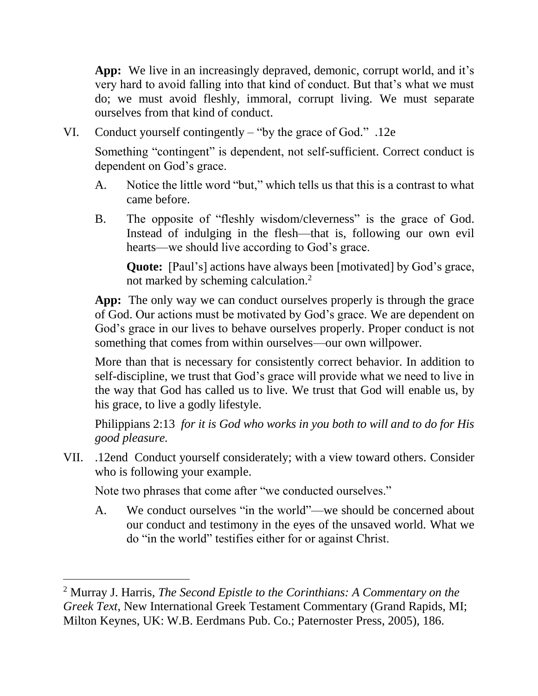**App:** We live in an increasingly depraved, demonic, corrupt world, and it's very hard to avoid falling into that kind of conduct. But that's what we must do; we must avoid fleshly, immoral, corrupt living. We must separate ourselves from that kind of conduct.

VI. Conduct yourself contingently – "by the grace of God." .12e

Something "contingent" is dependent, not self-sufficient. Correct conduct is dependent on God's grace.

- A. Notice the little word "but," which tells us that this is a contrast to what came before.
- B. The opposite of "fleshly wisdom/cleverness" is the grace of God. Instead of indulging in the flesh—that is, following our own evil hearts—we should live according to God's grace.

**Quote:** [Paul's] actions have always been [motivated] by God's grace, not marked by scheming calculation.<sup>2</sup>

**App:** The only way we can conduct ourselves properly is through the grace of God. Our actions must be motivated by God's grace. We are dependent on God's grace in our lives to behave ourselves properly. Proper conduct is not something that comes from within ourselves—our own willpower.

More than that is necessary for consistently correct behavior. In addition to self-discipline, we trust that God's grace will provide what we need to live in the way that God has called us to live. We trust that God will enable us, by his grace, to live a godly lifestyle.

Philippians 2:13 *for it is God who works in you both to will and to do for His good pleasure.*

VII. .12end Conduct yourself considerately; with a view toward others. Consider who is following your example.

Note two phrases that come after "we conducted ourselves."

 $\overline{a}$ 

A. We conduct ourselves "in the world"—we should be concerned about our conduct and testimony in the eyes of the unsaved world. What we do "in the world" testifies either for or against Christ.

<sup>2</sup> Murray J. Harris, *The Second Epistle to the Corinthians: A Commentary on the Greek Text*, New International Greek Testament Commentary (Grand Rapids, MI; Milton Keynes, UK: W.B. Eerdmans Pub. Co.; Paternoster Press, 2005), 186.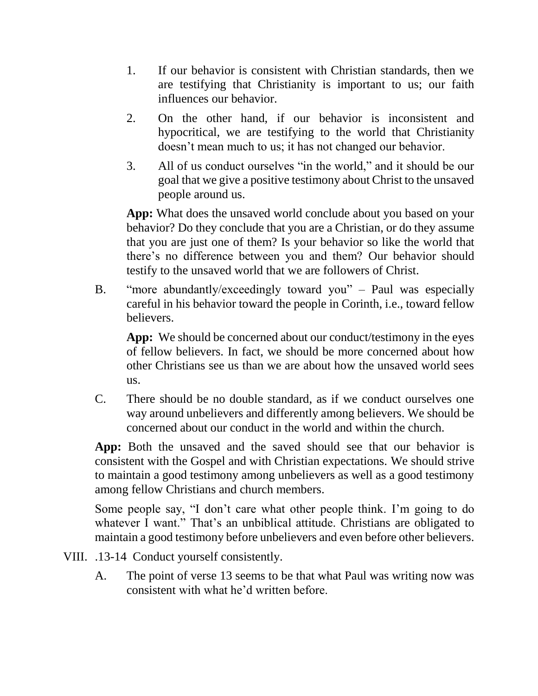- 1. If our behavior is consistent with Christian standards, then we are testifying that Christianity is important to us; our faith influences our behavior.
- 2. On the other hand, if our behavior is inconsistent and hypocritical, we are testifying to the world that Christianity doesn't mean much to us; it has not changed our behavior.
- 3. All of us conduct ourselves "in the world," and it should be our goal that we give a positive testimony about Christ to the unsaved people around us.

**App:** What does the unsaved world conclude about you based on your behavior? Do they conclude that you are a Christian, or do they assume that you are just one of them? Is your behavior so like the world that there's no difference between you and them? Our behavior should testify to the unsaved world that we are followers of Christ.

B. "more abundantly/exceedingly toward you" – Paul was especially careful in his behavior toward the people in Corinth, i.e., toward fellow believers.

App: We should be concerned about our conduct/testimony in the eyes of fellow believers. In fact, we should be more concerned about how other Christians see us than we are about how the unsaved world sees us.

C. There should be no double standard, as if we conduct ourselves one way around unbelievers and differently among believers. We should be concerned about our conduct in the world and within the church.

**App:** Both the unsaved and the saved should see that our behavior is consistent with the Gospel and with Christian expectations. We should strive to maintain a good testimony among unbelievers as well as a good testimony among fellow Christians and church members.

Some people say, "I don't care what other people think. I'm going to do whatever I want." That's an unbiblical attitude. Christians are obligated to maintain a good testimony before unbelievers and even before other believers.

- VIII. .13-14 Conduct yourself consistently.
	- A. The point of verse 13 seems to be that what Paul was writing now was consistent with what he'd written before.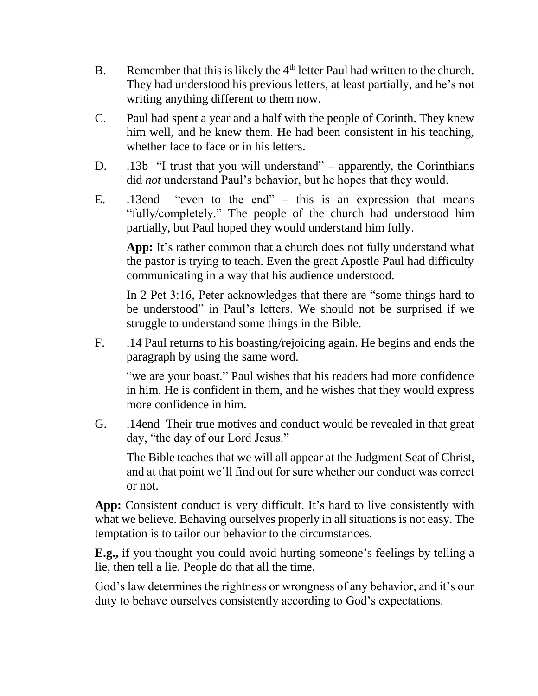- B. Remember that this is likely the  $4<sup>th</sup>$  letter Paul had written to the church. They had understood his previous letters, at least partially, and he's not writing anything different to them now.
- C. Paul had spent a year and a half with the people of Corinth. They knew him well, and he knew them. He had been consistent in his teaching, whether face to face or in his letters.
- D. .13b "I trust that you will understand" apparently, the Corinthians did *not* understand Paul's behavior, but he hopes that they would.
- E. .13end "even to the end" this is an expression that means "fully/completely." The people of the church had understood him partially, but Paul hoped they would understand him fully.

**App:** It's rather common that a church does not fully understand what the pastor is trying to teach. Even the great Apostle Paul had difficulty communicating in a way that his audience understood.

In 2 Pet 3:16, Peter acknowledges that there are "some things hard to be understood" in Paul's letters. We should not be surprised if we struggle to understand some things in the Bible.

F. .14 Paul returns to his boasting/rejoicing again. He begins and ends the paragraph by using the same word.

"we are your boast." Paul wishes that his readers had more confidence in him. He is confident in them, and he wishes that they would express more confidence in him.

G. .14end Their true motives and conduct would be revealed in that great day, "the day of our Lord Jesus."

The Bible teaches that we will all appear at the Judgment Seat of Christ, and at that point we'll find out for sure whether our conduct was correct or not.

**App:** Consistent conduct is very difficult. It's hard to live consistently with what we believe. Behaving ourselves properly in all situations is not easy. The temptation is to tailor our behavior to the circumstances.

**E.g.,** if you thought you could avoid hurting someone's feelings by telling a lie, then tell a lie. People do that all the time.

God's law determines the rightness or wrongness of any behavior, and it's our duty to behave ourselves consistently according to God's expectations.